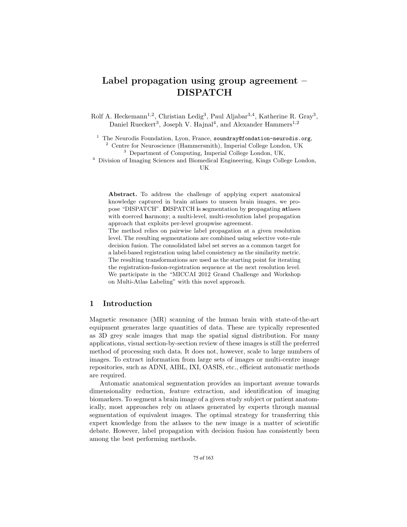# Label propagation using group agreement – DISPATCH

Rolf A. Heckemann<sup>1,2</sup>, Christian Ledig<sup>3</sup>, Paul Aljabar<sup>3,4</sup>, Katherine R. Gray<sup>3</sup>, Daniel Rueckert<sup>3</sup>, Joseph V. Hajnal<sup>4</sup>, and Alexander Hammers<sup>1,2</sup>

 $1$  The Neurodis Foundation, Lyon, France, soundray@fondation-neurodis.org, <sup>2</sup> Centre for Neuroscience (Hammersmith), Imperial College London, UK

<sup>3</sup> Department of Computing, Imperial College London, UK,

<sup>4</sup> Division of Imaging Sciences and Biomedical Engineering, Kings College London,

UK

Abstract. To address the challenge of applying expert anatomical knowledge captured in brain atlases to unseen brain images, we propose "DISPATCH". DISPATCH is segmentation by propagating atlases with coerced harmony; a multi-level, multi-resolution label propagation approach that exploits per-level groupwise agreement.

The method relies on pairwise label propagation at a given resolution level. The resulting segmentations are combined using selective vote-rule decision fusion. The consolidated label set serves as a common target for a label-based registration using label consistency as the similarity metric. The resulting transformations are used as the starting point for iterating the registration-fusion-registration sequence at the next resolution level. We participate in the "MICCAI 2012 Grand Challenge and Workshop on Multi-Atlas Labeling" with this novel approach.

#### 1 Introduction

Magnetic resonance (MR) scanning of the human brain with state-of-the-art equipment generates large quantities of data. These are typically represented as 3D grey scale images that map the spatial signal distribution. For many applications, visual section-by-section review of these images is still the preferred method of processing such data. It does not, however, scale to large numbers of images. To extract information from large sets of images or multi-centre image repositories, such as ADNI, AIBL, IXI, OASIS, etc., efficient automatic methods are required.

Automatic anatomical segmentation provides an important avenue towards dimensionality reduction, feature extraction, and identification of imaging biomarkers. To segment a brain image of a given study subject or patient anatomically, most approaches rely on atlases generated by experts through manual segmentation of equivalent images. The optimal strategy for transferring this expert knowledge from the atlases to the new image is a matter of scientific debate. However, label propagation with decision fusion has consistently been among the best performing methods.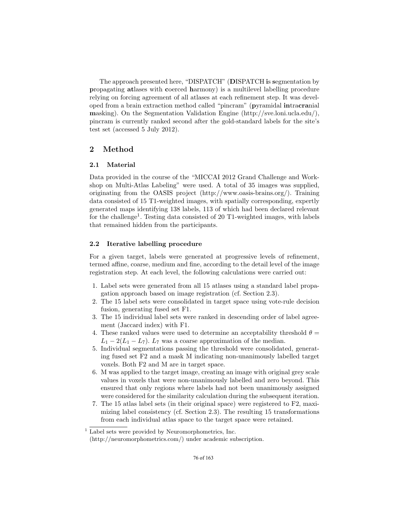The approach presented here, "DISPATCH" (DISPATCH is segmentation by propagating atlases with coerced harmony) is a multilevel labelling procedure relying on forcing agreement of all atlases at each refinement step. It was developed from a brain extraction method called "pincram" (pyramidal intracranial masking). On the Segmentation Validation Engine (http://sve.loni.ucla.edu/), pincram is currently ranked second after the gold-standard labels for the site's test set (accessed 5 July 2012).

## 2 Method

#### 2.1 Material

Data provided in the course of the "MICCAI 2012 Grand Challenge and Workshop on Multi-Atlas Labeling" were used. A total of 35 images was supplied, originating from the OASIS project (http://www.oasis-brains.org/). Training data consisted of 15 T1-weighted images, with spatially corresponding, expertly generated maps identifying 138 labels, 113 of which had been declared relevant for the challenge<sup>1</sup>. Testing data consisted of 20 T1-weighted images, with labels that remained hidden from the participants.

#### 2.2 Iterative labelling procedure

For a given target, labels were generated at progressive levels of refinement, termed affine, coarse, medium and fine, according to the detail level of the image registration step. At each level, the following calculations were carried out:

- 1. Label sets were generated from all 15 atlases using a standard label propagation approach based on image registration (cf. Section 2.3).
- 2. The 15 label sets were consolidated in target space using vote-rule decision fusion, generating fused set F1.
- 3. The 15 individual label sets were ranked in descending order of label agreement (Jaccard index) with F1.
- 4. These ranked values were used to determine an acceptability threshold  $\theta =$  $L_1 - 2(L_1 - L_7)$ .  $L_7$  was a coarse approximation of the median.
- 5. Individual segmentations passing the threshold were consolidated, generating fused set F2 and a mask M indicating non-unanimously labelled target voxels. Both F2 and M are in target space.
- 6. M was applied to the target image, creating an image with original grey scale values in voxels that were non-unanimously labelled and zero beyond. This ensured that only regions where labels had not been unanimously assigned were considered for the similarity calculation during the subsequent iteration.
- 7. The 15 atlas label sets (in their original space) were registered to F2, maximizing label consistency (cf. Section 2.3). The resulting 15 transformations from each individual atlas space to the target space were retained.

 $1$  Label sets were provided by Neuromorphometrics, Inc. (http://neuromorphometrics.com/) under academic subscription.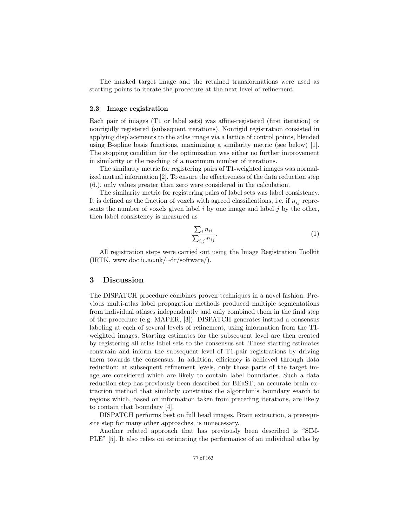The masked target image and the retained transformations were used as starting points to iterate the procedure at the next level of refinement.

#### 2.3 Image registration

Each pair of images (T1 or label sets) was affine-registered (first iteration) or nonrigidly registered (subsequent iterations). Nonrigid registration consisted in applying displacements to the atlas image via a lattice of control points, blended using B-spline basis functions, maximizing a similarity metric (see below) [1]. The stopping condition for the optimization was either no further improvement in similarity or the reaching of a maximum number of iterations.

The similarity metric for registering pairs of T1-weighted images was normalized mutual information [2]. To ensure the effectiveness of the data reduction step (6.), only values greater than zero were considered in the calculation.

The similarity metric for registering pairs of label sets was label consistency. It is defined as the fraction of voxels with agreed classifications, i.e. if  $n_{ij}$  represents the number of voxels given label  $i$  by one image and label  $j$  by the other, then label consistency is measured as

$$
\frac{\sum_{i} n_{ii}}{\sum_{i,j} n_{ij}}.\tag{1}
$$

All registration steps were carried out using the Image Registration Toolkit (IRTK, www.doc.ic.ac.uk/∼dr/software/).

#### 3 Discussion

The DISPATCH procedure combines proven techniques in a novel fashion. Previous multi-atlas label propagation methods produced multiple segmentations from individual atlases independently and only combined them in the final step of the procedure (e.g. MAPER, [3]). DISPATCH generates instead a consensus labeling at each of several levels of refinement, using information from the T1 weighted images. Starting estimates for the subsequent level are then created by registering all atlas label sets to the consensus set. These starting estimates constrain and inform the subsequent level of T1-pair registrations by driving them towards the consensus. In addition, efficiency is achieved through data reduction: at subsequent refinement levels, only those parts of the target image are considered which are likely to contain label boundaries. Such a data reduction step has previously been described for BEaST, an accurate brain extraction method that similarly constrains the algorithm's boundary search to regions which, based on information taken from preceding iterations, are likely to contain that boundary [4].

DISPATCH performs best on full head images. Brain extraction, a prerequisite step for many other approaches, is unnecessary.

Another related approach that has previously been described is "SIM-PLE" [5]. It also relies on estimating the performance of an individual atlas by